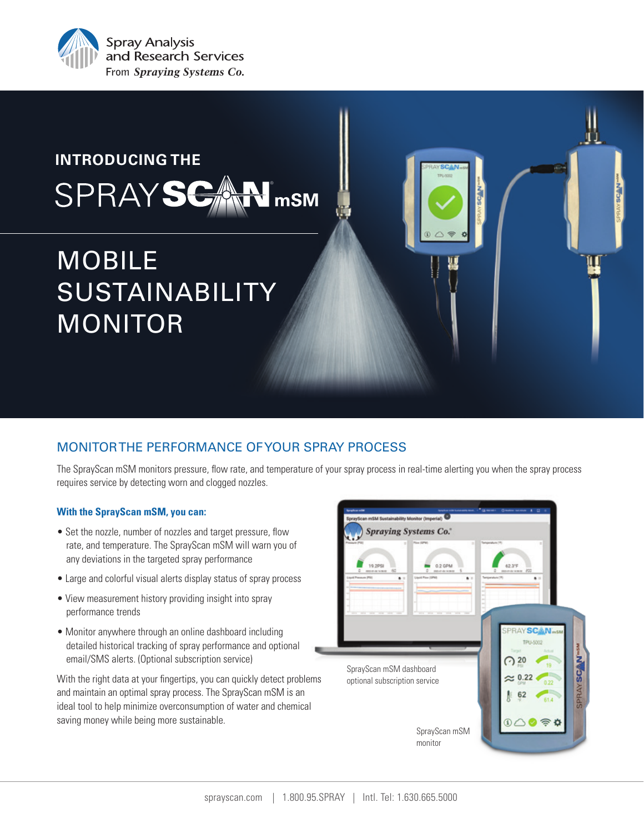

## **INTRODUCING THE** ® SPRAYS<del>C</del> mSM

# MOBILE SUSTAINABILITY MONITOR

### MONITOR THE PERFORMANCE OF YOUR SPRAY PROCESS

The SprayScan mSM monitors pressure, flow rate, and temperature of your spray process in real-time alerting you when the spray process requires service by detecting worn and clogged nozzles.

#### **With the SprayScan mSM, you can:**

- Set the nozzle, number of nozzles and target pressure, flow rate, and temperature. The SprayScan mSM will warn you of any deviations in the targeted spray performance
- Large and colorful visual alerts display status of spray process
- View measurement history providing insight into spray performance trends
- Monitor anywhere through an online dashboard including detailed historical tracking of spray performance and optional email/SMS alerts. (Optional subscription service)

With the right data at your fingertips, you can quickly detect problems and maintain an optimal spray process. The SprayScan mSM is an ideal tool to help minimize overconsumption of water and chemical saving money while being more sustainable.